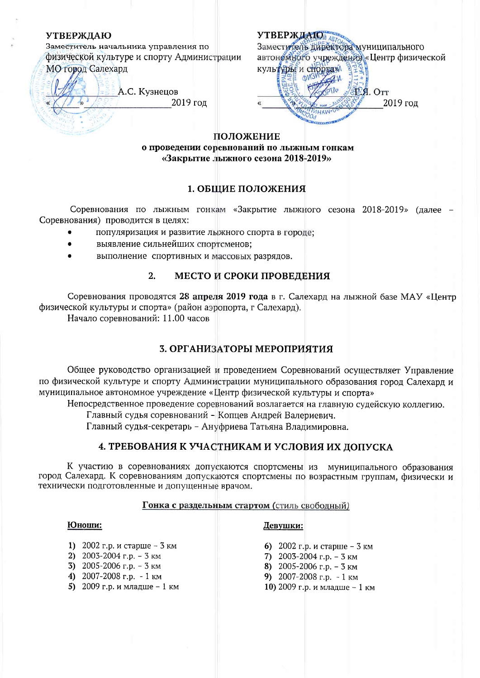### **УТВЕРЖЛАЮ**

Заместитель начальника управления по физической культуре и спорту Администрации МО город Салехард

А.С. Кузнецов 2019 год

УТВЕРЖДАЮ АВТОМ В ТОРОДИ И ПАЛЬНОГО автономного учреждения «Центр физической культуры и спортам

my3 T.A. OTT 2019 год

### ПОЛОЖЕНИЕ

о проведении соревнований по лыжным гонкам «Закрытие лыжного сезона 2018-2019»

# 1. ОБЩИЕ ПОЛОЖЕНИЯ

Соревнования по лыжным гонкам «Закрытие лыжного сезона 2018-2019» (лалее -Соревнования) проводится в целях:

- популяризация и развитие лыжного спорта в городе;
- выявление сильнейших спортсменов:
- выполнение спортивных и массовых разрядов.

#### $2.$ МЕСТО И СРОКИ ПРОВЕДЕНИЯ

Соревнования проводятся 28 апреля 2019 года в г. Салехард на лыжной базе МАУ «Центр физической культуры и спорта» (район аэропорта, г Салехард).

Начало соревнований: 11.00 часов

# 3. ОРГАНИЗАТОРЫ МЕРОПРИЯТИЯ

Общее руководство организацией и проведением Соревнований осуществляет Управление по физической культуре и спорту Администрации муниципального образования город Салехард и муниципальное автономное учреждение «Центр физической культуры и спорта»

Непосредственное проведение соревнований возлагается на главную судейскую коллегию.

Главный судья соревнований - Копцев Андрей Валериевич.

Главный судья-секретарь - Ануфриева Татьяна Владимировна.

# 4. ТРЕБОВАНИЯ К УЧАСТНИКАМ И УСЛОВИЯ ИХ ЛОПУСКА

К участию в соревнованиях допускаются спортсмены из муниципального образования город Салехард. К соревнованиям допускаются спортсмены по возрастным группам, физически и технически подготовленные и допущенные врачом.

### Гонка с раздельным стартом (стиль свободный)

### Юноши:

- Девушки:
	- 6) 2002 г.р. и старше 3 км
		- 7) 2003-2004 г.р. 3 км
		- 8) 2005-2006 г.р. 3 км
		- 9)  $2007 2008$  r.p.  $-1$  KM
		- 10) 2009 г.р. и младше 1 км
- 1) 2002 г.р. и старше 3 км
- 2)  $2003 2004$  r.p. 3 km
- 3) 2005-2006 г.р. 3 км
- 4) 2007-2008 г.р. 1 км
- 5) 2009 г.р. и младше 1 км